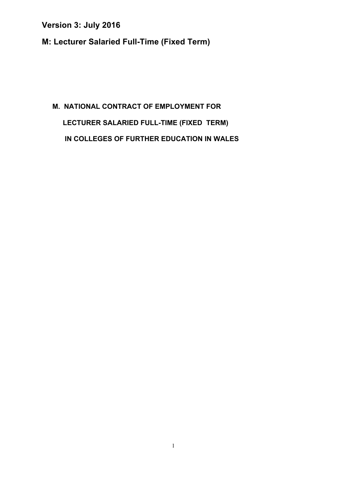**M: Lecturer Salaried Full-Time (Fixed Term)** 

# **M. NATIONAL CONTRACT OF EMPLOYMENT FOR LECTURER SALARIED FULL-TIME (FIXED TERM) IN COLLEGES OF FURTHER EDUCATION IN WALES**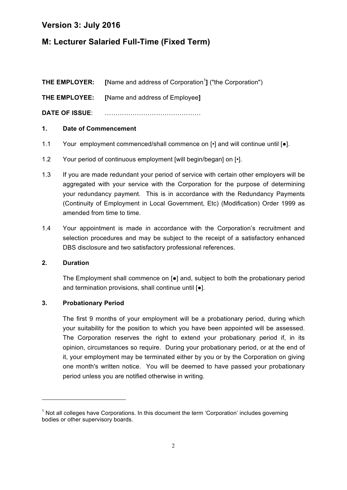### **M: Lecturer Salaried Full-Time (Fixed Term)**

**THE EMPLOYER:** [Name and address of Corporation<sup>1</sup>] ("the Corporation") **THE EMPLOYEE: [**Name and address of Employee**] DATE OF ISSUE**: ………………………………………

### **1. Date of Commencement**

- 1.1 Your employment commenced/shall commence on  $\lceil \cdot \rceil$  and will continue until  $\lceil \bullet \rceil$ .
- 1.2 Your period of continuous employment [will begin/began] on [ $\cdot$ ].
- 1.3 If you are made redundant your period of service with certain other employers will be aggregated with your service with the Corporation for the purpose of determining your redundancy payment. This is in accordance with the Redundancy Payments (Continuity of Employment in Local Government, Etc) (Modification) Order 1999 as amended from time to time.
- 1.4 Your appointment is made in accordance with the Corporation's recruitment and selection procedures and may be subject to the receipt of a satisfactory enhanced DBS disclosure and two satisfactory professional references.

### **2. Duration**

The Employment shall commence on [●] and, subject to both the probationary period and termination provisions, shall continue until [●].

### **3. Probationary Period**

<u> 1989 - Jan Samuel Barbara, margaret e</u>

The first 9 months of your employment will be a probationary period, during which your suitability for the position to which you have been appointed will be assessed. The Corporation reserves the right to extend your probationary period if, in its opinion, circumstances so require. During your probationary period, or at the end of it, your employment may be terminated either by you or by the Corporation on giving one month's written notice. You will be deemed to have passed your probationary period unless you are notified otherwise in writing.

 $1$  Not all colleges have Corporations. In this document the term 'Corporation' includes governing bodies or other supervisory boards.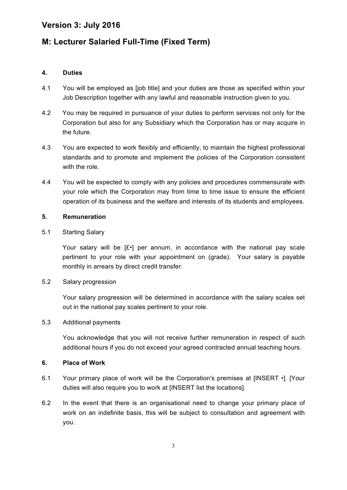### **M: Lecturer Salaried Full-Time (Fixed Term)**

#### **4. Duties**

- 4.1 You will be employed as [job title] and your duties are those as specified within your Job Description together with any lawful and reasonable instruction given to you.
- 4.2 You may be required in pursuance of your duties to perform services not only for the Corporation but also for any Subsidiary which the Corporation has or may acquire in the future.
- 4.3 You are expected to work flexibly and efficiently, to maintain the highest professional standards and to promote and implement the policies of the Corporation consistent with the role.
- 4.4 You will be expected to comply with any policies and procedures commensurate with your role which the Corporation may from time to time issue to ensure the efficient operation of its business and the welfare and interests of its students and employees.

#### **5. Remuneration**

#### 5.1 Starting Salary

Your salary will be [£•] per annum, in accordance with the national pay scale pertinent to your role with your appointment on (grade). Your salary is payable monthly in arrears by direct credit transfer.

#### 5.2 Salary progression

Your salary progression will be determined in accordance with the salary scales set out in the national pay scales pertinent to your role.

#### 5.3 Additional payments

You acknowledge that you will not receive further remuneration in respect of such additional hours if you do not exceed your agreed contracted annual teaching hours.

#### **6. Place of Work**

- 6.1 Your primary place of work will be the Corporation's premises at [INSERT •]. [Your duties will also require you to work at [INSERT list the locations].
- 6.2 In the event that there is an organisational need to change your primary place of work on an indefinite basis, this will be subject to consultation and agreement with you.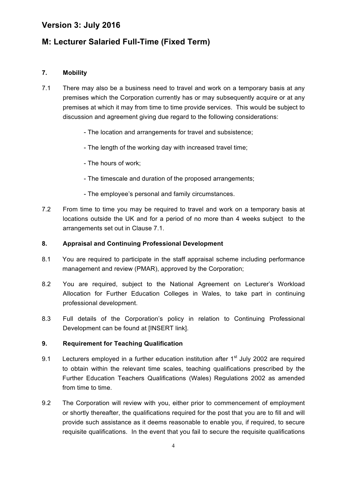### **M: Lecturer Salaried Full-Time (Fixed Term)**

### **7. Mobility**

- 7.1 There may also be a business need to travel and work on a temporary basis at any premises which the Corporation currently has or may subsequently acquire or at any premises at which it may from time to time provide services. This would be subject to discussion and agreement giving due regard to the following considerations:
	- The location and arrangements for travel and subsistence;
	- The length of the working day with increased travel time;
	- The hours of work;
	- The timescale and duration of the proposed arrangements;
	- The employee's personal and family circumstances.
- 7.2 From time to time you may be required to travel and work on a temporary basis at locations outside the UK and for a period of no more than 4 weeks subject to the arrangements set out in Clause 7.1.

### **8. Appraisal and Continuing Professional Development**

- 8.1 You are required to participate in the staff appraisal scheme including performance management and review (PMAR), approved by the Corporation;
- 8.2 You are required, subject to the National Agreement on Lecturer's Workload Allocation for Further Education Colleges in Wales, to take part in continuing professional development.
- 8.3 Full details of the Corporation's policy in relation to Continuing Professional Development can be found at IINSERT linkl.

### **9. Requirement for Teaching Qualification**

- 9.1 Lecturers employed in a further education institution after  $1<sup>st</sup>$  July 2002 are required to obtain within the relevant time scales, teaching qualifications prescribed by the Further Education Teachers Qualifications (Wales) Regulations 2002 as amended from time to time.
- 9.2 The Corporation will review with you, either prior to commencement of employment or shortly thereafter, the qualifications required for the post that you are to fill and will provide such assistance as it deems reasonable to enable you, if required, to secure requisite qualifications. In the event that you fail to secure the requisite qualifications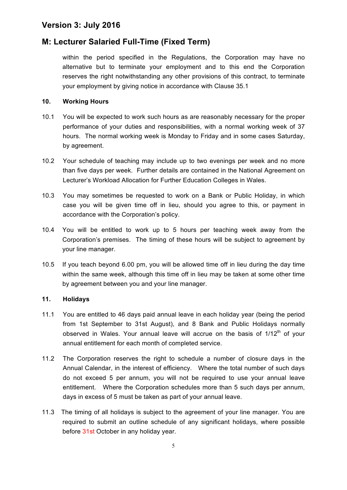### **M: Lecturer Salaried Full-Time (Fixed Term)**

within the period specified in the Regulations, the Corporation may have no alternative but to terminate your employment and to this end the Corporation reserves the right notwithstanding any other provisions of this contract, to terminate your employment by giving notice in accordance with Clause 35.1

#### **10. Working Hours**

- 10.1 You will be expected to work such hours as are reasonably necessary for the proper performance of your duties and responsibilities, with a normal working week of 37 hours. The normal working week is Monday to Friday and in some cases Saturday, by agreement.
- 10.2 Your schedule of teaching may include up to two evenings per week and no more than five days per week. Further details are contained in the National Agreement on Lecturer's Workload Allocation for Further Education Colleges in Wales.
- 10.3 You may sometimes be requested to work on a Bank or Public Holiday, in which case you will be given time off in lieu, should you agree to this, or payment in accordance with the Corporation's policy.
- 10.4 You will be entitled to work up to 5 hours per teaching week away from the Corporation's premises. The timing of these hours will be subject to agreement by your line manager.
- 10.5 If you teach beyond 6.00 pm, you will be allowed time off in lieu during the day time within the same week, although this time off in lieu may be taken at some other time by agreement between you and your line manager.

#### **11. Holidays**

- 11.1 You are entitled to 46 days paid annual leave in each holiday year (being the period from 1st September to 31st August), and 8 Bank and Public Holidays normally observed in Wales. Your annual leave will accrue on the basis of  $1/12<sup>th</sup>$  of your annual entitlement for each month of completed service.
- 11.2 The Corporation reserves the right to schedule a number of closure days in the Annual Calendar, in the interest of efficiency. Where the total number of such days do not exceed 5 per annum, you will not be required to use your annual leave entitlement. Where the Corporation schedules more than 5 such days per annum, days in excess of 5 must be taken as part of your annual leave.
- 11.3 The timing of all holidays is subject to the agreement of your line manager. You are required to submit an outline schedule of any significant holidays, where possible before 31st October in any holiday year.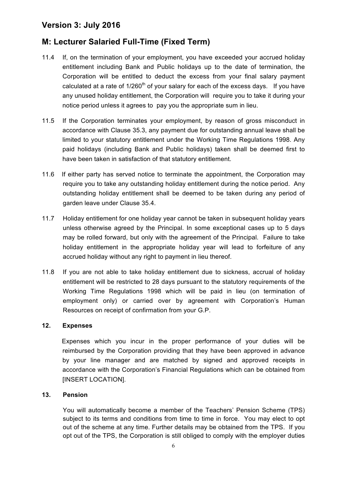### **M: Lecturer Salaried Full-Time (Fixed Term)**

- 11.4 If, on the termination of your employment, you have exceeded your accrued holiday entitlement including Bank and Public holidays up to the date of termination, the Corporation will be entitled to deduct the excess from your final salary payment calculated at a rate of  $1/260<sup>th</sup>$  of your salary for each of the excess days. If you have any unused holiday entitlement, the Corporation will require you to take it during your notice period unless it agrees to pay you the appropriate sum in lieu.
- 11.5 If the Corporation terminates your employment, by reason of gross misconduct in accordance with Clause 35.3, any payment due for outstanding annual leave shall be limited to your statutory entitlement under the Working Time Regulations 1998. Any paid holidays (including Bank and Public holidays) taken shall be deemed first to have been taken in satisfaction of that statutory entitlement.
- 11.6 If either party has served notice to terminate the appointment, the Corporation may require you to take any outstanding holiday entitlement during the notice period. Any outstanding holiday entitlement shall be deemed to be taken during any period of garden leave under Clause 35.4.
- 11.7 Holiday entitlement for one holiday year cannot be taken in subsequent holiday years unless otherwise agreed by the Principal. In some exceptional cases up to 5 days may be rolled forward, but only with the agreement of the Principal. Failure to take holiday entitlement in the appropriate holiday year will lead to forfeiture of any accrued holiday without any right to payment in lieu thereof.
- 11.8 If you are not able to take holiday entitlement due to sickness, accrual of holiday entitlement will be restricted to 28 days pursuant to the statutory requirements of the Working Time Regulations 1998 which will be paid in lieu (on termination of employment only) or carried over by agreement with Corporation's Human Resources on receipt of confirmation from your G.P.

### **12. Expenses**

Expenses which you incur in the proper performance of your duties will be reimbursed by the Corporation providing that they have been approved in advance by your line manager and are matched by signed and approved receipts in accordance with the Corporation's Financial Regulations which can be obtained from [INSERT LOCATION].

#### **13. Pension**

You will automatically become a member of the Teachers' Pension Scheme (TPS) subject to its terms and conditions from time to time in force. You may elect to opt out of the scheme at any time. Further details may be obtained from the TPS. If you opt out of the TPS, the Corporation is still obliged to comply with the employer duties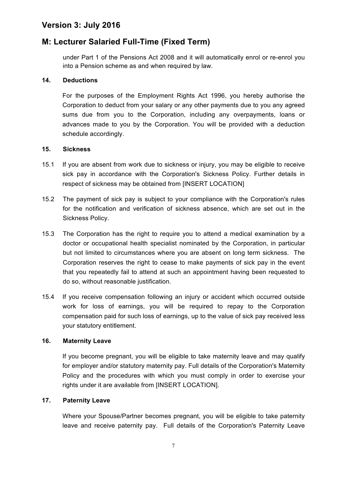### **M: Lecturer Salaried Full-Time (Fixed Term)**

under Part 1 of the Pensions Act 2008 and it will automatically enrol or re-enrol you into a Pension scheme as and when required by law.

#### **14. Deductions**

For the purposes of the Employment Rights Act 1996, you hereby authorise the Corporation to deduct from your salary or any other payments due to you any agreed sums due from you to the Corporation, including any overpayments, loans or advances made to you by the Corporation. You will be provided with a deduction schedule accordingly.

#### **15. Sickness**

- 15.1 If you are absent from work due to sickness or injury, you may be eligible to receive sick pay in accordance with the Corporation's Sickness Policy. Further details in respect of sickness may be obtained from [INSERT LOCATION]
- 15.2 The payment of sick pay is subject to your compliance with the Corporation's rules for the notification and verification of sickness absence, which are set out in the Sickness Policy.
- 15.3 The Corporation has the right to require you to attend a medical examination by a doctor or occupational health specialist nominated by the Corporation, in particular but not limited to circumstances where you are absent on long term sickness. The Corporation reserves the right to cease to make payments of sick pay in the event that you repeatedly fail to attend at such an appointment having been requested to do so, without reasonable justification.
- 15.4 If you receive compensation following an injury or accident which occurred outside work for loss of earnings, you will be required to repay to the Corporation compensation paid for such loss of earnings, up to the value of sick pay received less your statutory entitlement.

### **16. Maternity Leave**

If you become pregnant, you will be eligible to take maternity leave and may qualify for employer and/or statutory maternity pay. Full details of the Corporation's Maternity Policy and the procedures with which you must comply in order to exercise your rights under it are available from [INSERT LOCATION].

#### **17. Paternity Leave**

Where your Spouse/Partner becomes pregnant, you will be eligible to take paternity leave and receive paternity pay. Full details of the Corporation's Paternity Leave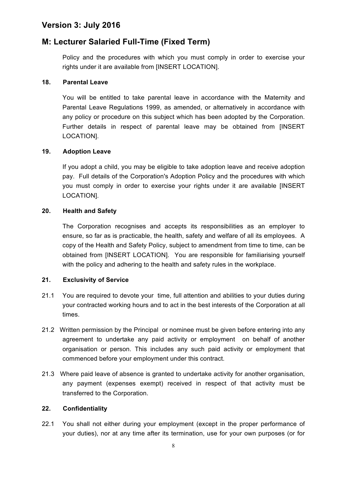### **M: Lecturer Salaried Full-Time (Fixed Term)**

Policy and the procedures with which you must comply in order to exercise your rights under it are available from [INSERT LOCATION].

#### **18. Parental Leave**

You will be entitled to take parental leave in accordance with the Maternity and Parental Leave Regulations 1999, as amended, or alternatively in accordance with any policy or procedure on this subject which has been adopted by the Corporation. Further details in respect of parental leave may be obtained from [INSERT LOCATION].

#### **19. Adoption Leave**

If you adopt a child, you may be eligible to take adoption leave and receive adoption pay. Full details of the Corporation's Adoption Policy and the procedures with which you must comply in order to exercise your rights under it are available [INSERT LOCATION].

#### **20. Health and Safety**

The Corporation recognises and accepts its responsibilities as an employer to ensure, so far as is practicable, the health, safety and welfare of all its employees. A copy of the Health and Safety Policy, subject to amendment from time to time, can be obtained from [INSERT LOCATION]. You are responsible for familiarising yourself with the policy and adhering to the health and safety rules in the workplace.

### **21. Exclusivity of Service**

- 21.1 You are required to devote your time, full attention and abilities to your duties during your contracted working hours and to act in the best interests of the Corporation at all times.
- 21.2 Written permission by the Principal or nominee must be given before entering into any agreement to undertake any paid activity or employment on behalf of another organisation or person. This includes any such paid activity or employment that commenced before your employment under this contract.
- 21.3 Where paid leave of absence is granted to undertake activity for another organisation, any payment (expenses exempt) received in respect of that activity must be transferred to the Corporation.

#### **22. Confidentiality**

22.1 You shall not either during your employment (except in the proper performance of your duties), nor at any time after its termination, use for your own purposes (or for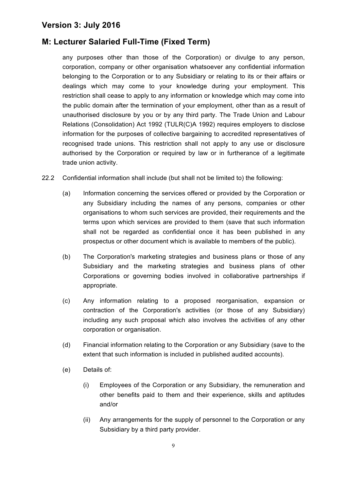### **M: Lecturer Salaried Full-Time (Fixed Term)**

any purposes other than those of the Corporation) or divulge to any person, corporation, company or other organisation whatsoever any confidential information belonging to the Corporation or to any Subsidiary or relating to its or their affairs or dealings which may come to your knowledge during your employment. This restriction shall cease to apply to any information or knowledge which may come into the public domain after the termination of your employment, other than as a result of unauthorised disclosure by you or by any third party. The Trade Union and Labour Relations (Consolidation) Act 1992 (TULR(C)A 1992) requires employers to disclose information for the purposes of collective bargaining to accredited representatives of recognised trade unions. This restriction shall not apply to any use or disclosure authorised by the Corporation or required by law or in furtherance of a legitimate trade union activity.

- 22.2 Confidential information shall include (but shall not be limited to) the following:
	- (a) Information concerning the services offered or provided by the Corporation or any Subsidiary including the names of any persons, companies or other organisations to whom such services are provided, their requirements and the terms upon which services are provided to them (save that such information shall not be regarded as confidential once it has been published in any prospectus or other document which is available to members of the public).
	- (b) The Corporation's marketing strategies and business plans or those of any Subsidiary and the marketing strategies and business plans of other Corporations or governing bodies involved in collaborative partnerships if appropriate.
	- (c) Any information relating to a proposed reorganisation, expansion or contraction of the Corporation's activities (or those of any Subsidiary) including any such proposal which also involves the activities of any other corporation or organisation.
	- (d) Financial information relating to the Corporation or any Subsidiary (save to the extent that such information is included in published audited accounts).
	- (e) Details of:
		- (i) Employees of the Corporation or any Subsidiary, the remuneration and other benefits paid to them and their experience, skills and aptitudes and/or
		- (ii) Any arrangements for the supply of personnel to the Corporation or any Subsidiary by a third party provider.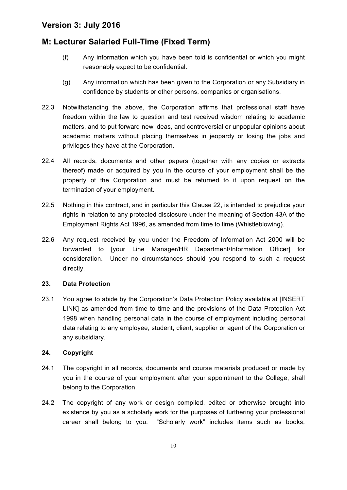### **M: Lecturer Salaried Full-Time (Fixed Term)**

- (f) Any information which you have been told is confidential or which you might reasonably expect to be confidential.
- (g) Any information which has been given to the Corporation or any Subsidiary in confidence by students or other persons, companies or organisations.
- 22.3 Notwithstanding the above, the Corporation affirms that professional staff have freedom within the law to question and test received wisdom relating to academic matters, and to put forward new ideas, and controversial or unpopular opinions about academic matters without placing themselves in jeopardy or losing the jobs and privileges they have at the Corporation.
- 22.4 All records, documents and other papers (together with any copies or extracts thereof) made or acquired by you in the course of your employment shall be the property of the Corporation and must be returned to it upon request on the termination of your employment.
- 22.5 Nothing in this contract, and in particular this Clause 22, is intended to prejudice your rights in relation to any protected disclosure under the meaning of Section 43A of the Employment Rights Act 1996, as amended from time to time (Whistleblowing).
- 22.6 Any request received by you under the Freedom of Information Act 2000 will be forwarded to [your Line Manager/HR Department/Information Officer] for consideration. Under no circumstances should you respond to such a request directly.

### **23. Data Protection**

23.1 You agree to abide by the Corporation's Data Protection Policy available at [INSERT LINK] as amended from time to time and the provisions of the Data Protection Act 1998 when handling personal data in the course of employment including personal data relating to any employee, student, client, supplier or agent of the Corporation or any subsidiary.

### **24. Copyright**

- 24.1 The copyright in all records, documents and course materials produced or made by you in the course of your employment after your appointment to the College, shall belong to the Corporation.
- 24.2 The copyright of any work or design compiled, edited or otherwise brought into existence by you as a scholarly work for the purposes of furthering your professional career shall belong to you. "Scholarly work" includes items such as books,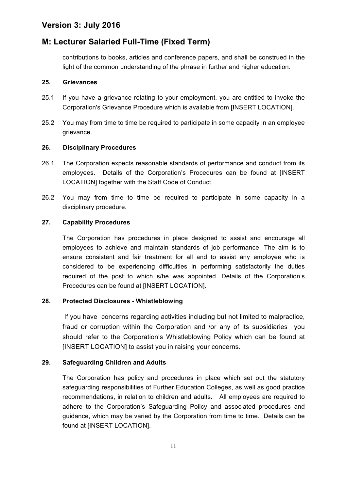### **M: Lecturer Salaried Full-Time (Fixed Term)**

contributions to books, articles and conference papers, and shall be construed in the light of the common understanding of the phrase in further and higher education.

#### **25. Grievances**

- 25.1 If you have a grievance relating to your employment, you are entitled to invoke the Corporation's Grievance Procedure which is available from [INSERT LOCATION].
- 25.2 You may from time to time be required to participate in some capacity in an employee grievance.

### **26. Disciplinary Procedures**

- 26.1 The Corporation expects reasonable standards of performance and conduct from its employees. Details of the Corporation's Procedures can be found at [INSERT LOCATION] together with the Staff Code of Conduct.
- 26.2 You may from time to time be required to participate in some capacity in a disciplinary procedure.

### **27. Capability Procedures**

The Corporation has procedures in place designed to assist and encourage all employees to achieve and maintain standards of job performance. The aim is to ensure consistent and fair treatment for all and to assist any employee who is considered to be experiencing difficulties in performing satisfactorily the duties required of the post to which s/he was appointed. Details of the Corporation's Procedures can be found at [INSERT LOCATION].

### **28. Protected Disclosures - Whistleblowing**

If you have concerns regarding activities including but not limited to malpractice, fraud or corruption within the Corporation and /or any of its subsidiaries you should refer to the Corporation's Whistleblowing Policy which can be found at [INSERT LOCATION] to assist you in raising your concerns.

### **29. Safeguarding Children and Adults**

The Corporation has policy and procedures in place which set out the statutory safeguarding responsibilities of Further Education Colleges, as well as good practice recommendations, in relation to children and adults. All employees are required to adhere to the Corporation's Safeguarding Policy and associated procedures and guidance, which may be varied by the Corporation from time to time. Details can be found at [INSERT LOCATION].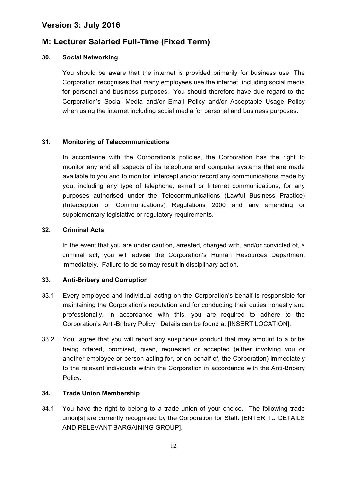### **M: Lecturer Salaried Full-Time (Fixed Term)**

#### **30. Social Networking**

You should be aware that the internet is provided primarily for business use. The Corporation recognises that many employees use the internet, including social media for personal and business purposes. You should therefore have due regard to the Corporation's Social Media and/or Email Policy and/or Acceptable Usage Policy when using the internet including social media for personal and business purposes.

#### **31. Monitoring of Telecommunications**

In accordance with the Corporation's policies, the Corporation has the right to monitor any and all aspects of its telephone and computer systems that are made available to you and to monitor, intercept and/or record any communications made by you, including any type of telephone, e-mail or Internet communications, for any purposes authorised under the Telecommunications (Lawful Business Practice) (Interception of Communications) Regulations 2000 and any amending or supplementary legislative or regulatory requirements.

#### **32. Criminal Acts**

In the event that you are under caution, arrested, charged with, and/or convicted of, a criminal act, you will advise the Corporation's Human Resources Department immediately. Failure to do so may result in disciplinary action.

#### **33. Anti-Bribery and Corruption**

- 33.1 Every employee and individual acting on the Corporation's behalf is responsible for maintaining the Corporation's reputation and for conducting their duties honestly and professionally. In accordance with this, you are required to adhere to the Corporation's Anti-Bribery Policy. Details can be found at [INSERT LOCATION].
- 33.2 You agree that you will report any suspicious conduct that may amount to a bribe being offered, promised, given, requested or accepted (either involving you or another employee or person acting for, or on behalf of, the Corporation) immediately to the relevant individuals within the Corporation in accordance with the Anti-Bribery Policy.

#### **34. Trade Union Membership**

34.1 You have the right to belong to a trade union of your choice. The following trade union[s] are currently recognised by the Corporation for Staff: [ENTER TU DETAILS AND RELEVANT BARGAINING GROUP].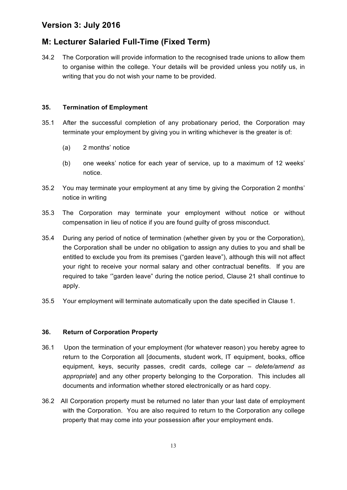### **M: Lecturer Salaried Full-Time (Fixed Term)**

34.2 The Corporation will provide information to the recognised trade unions to allow them to organise within the college. Your details will be provided unless you notify us, in writing that you do not wish your name to be provided.

### **35. Termination of Employment**

- 35.1 After the successful completion of any probationary period, the Corporation may terminate your employment by giving you in writing whichever is the greater is of:
	- (a) 2 months' notice
	- (b) one weeks' notice for each year of service, up to a maximum of 12 weeks' notice.
- 35.2 You may terminate your employment at any time by giving the Corporation 2 months' notice in writing
- 35.3 The Corporation may terminate your employment without notice or without compensation in lieu of notice if you are found guilty of gross misconduct.
- 35.4 During any period of notice of termination (whether given by you or the Corporation), the Corporation shall be under no obligation to assign any duties to you and shall be entitled to exclude you from its premises ("garden leave"), although this will not affect your right to receive your normal salary and other contractual benefits. If you are required to take '"garden leave" during the notice period, Clause 21 shall continue to apply.
- 35.5 Your employment will terminate automatically upon the date specified in Clause 1.

### **36. Return of Corporation Property**

- 36.1 Upon the termination of your employment (for whatever reason) you hereby agree to return to the Corporation all [documents, student work, IT equipment, books, office equipment, keys, security passes, credit cards, college car *– delete/amend as appropriate*] and any other property belonging to the Corporation. This includes all documents and information whether stored electronically or as hard copy.
- 36.2 All Corporation property must be returned no later than your last date of employment with the Corporation. You are also required to return to the Corporation any college property that may come into your possession after your employment ends.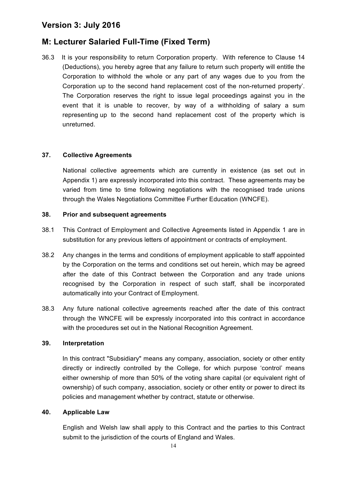### **M: Lecturer Salaried Full-Time (Fixed Term)**

36.3 It is your responsibility to return Corporation property. With reference to Clause 14 (Deductions), you hereby agree that any failure to return such property will entitle the Corporation to withhold the whole or any part of any wages due to you from the Corporation up to the second hand replacement cost of the non-returned property'. The Corporation reserves the right to issue legal proceedings against you in the event that it is unable to recover, by way of a withholding of salary a sum representing up to the second hand replacement cost of the property which is unreturned.

### **37. Collective Agreements**

National collective agreements which are currently in existence (as set out in Appendix 1) are expressly incorporated into this contract. These agreements may be varied from time to time following negotiations with the recognised trade unions through the Wales Negotiations Committee Further Education (WNCFE).

#### **38. Prior and subsequent agreements**

- 38.1 This Contract of Employment and Collective Agreements listed in Appendix 1 are in substitution for any previous letters of appointment or contracts of employment.
- 38.2 Any changes in the terms and conditions of employment applicable to staff appointed by the Corporation on the terms and conditions set out herein, which may be agreed after the date of this Contract between the Corporation and any trade unions recognised by the Corporation in respect of such staff, shall be incorporated automatically into your Contract of Employment.
- 38.3 Any future national collective agreements reached after the date of this contract through the WNCFE will be expressly incorporated into this contract in accordance with the procedures set out in the National Recognition Agreement.

#### **39. Interpretation**

In this contract "Subsidiary" means any company, association, society or other entity directly or indirectly controlled by the College, for which purpose 'control' means either ownership of more than 50% of the voting share capital (or equivalent right of ownership) of such company, association, society or other entity or power to direct its policies and management whether by contract, statute or otherwise.

#### **40. Applicable Law**

English and Welsh law shall apply to this Contract and the parties to this Contract submit to the jurisdiction of the courts of England and Wales.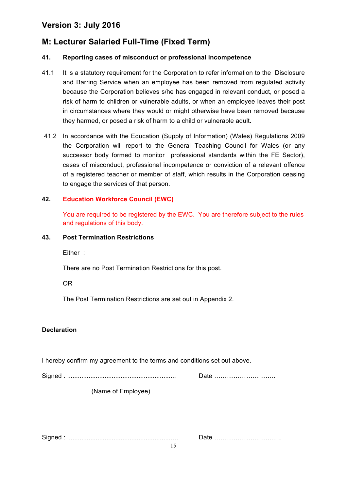### **M: Lecturer Salaried Full-Time (Fixed Term)**

### **41. Reporting cases of misconduct or professional incompetence**

- 41.1 It is a statutory requirement for the Corporation to refer information to the Disclosure and Barring Service when an employee has been removed from regulated activity because the Corporation believes s/he has engaged in relevant conduct, or posed a risk of harm to children or vulnerable adults, or when an employee leaves their post in circumstances where they would or might otherwise have been removed because they harmed, or posed a risk of harm to a child or vulnerable adult.
- 41.2 In accordance with the Education (Supply of Information) (Wales) Regulations 2009 the Corporation will report to the General Teaching Council for Wales (or any successor body formed to monitor professional standards within the FE Sector), cases of misconduct, professional incompetence or conviction of a relevant offence of a registered teacher or member of staff, which results in the Corporation ceasing to engage the services of that person.

### **42. Education Workforce Council (EWC)**

You are required to be registered by the EWC. You are therefore subject to the rules and regulations of this body.

#### **43. Post Termination Restrictions**

Either :

There are no Post Termination Restrictions for this post.

OR

The Post Termination Restrictions are set out in Appendix 2.

#### **Declaration**

I hereby confirm my agreement to the terms and conditions set out above.

Signed : ............................................................. Date ………………………..

(Name of Employee)

Signed : ...........................................................… Date …………………………..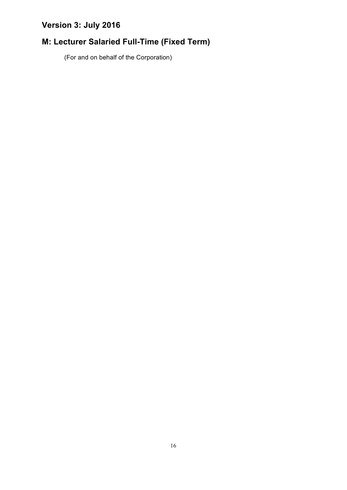# **M: Lecturer Salaried Full-Time (Fixed Term)**

(For and on behalf of the Corporation)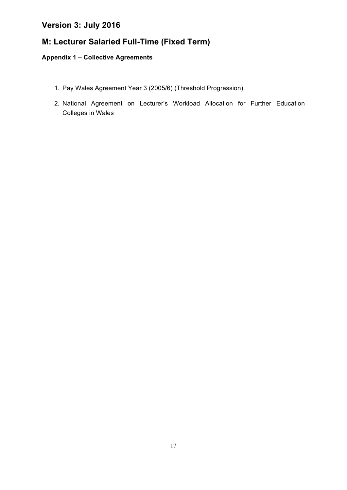### **M: Lecturer Salaried Full-Time (Fixed Term)**

### **Appendix 1 – Collective Agreements**

- 1. Pay Wales Agreement Year 3 (2005/6) (Threshold Progression)
- 2. National Agreement on Lecturer's Workload Allocation for Further Education Colleges in Wales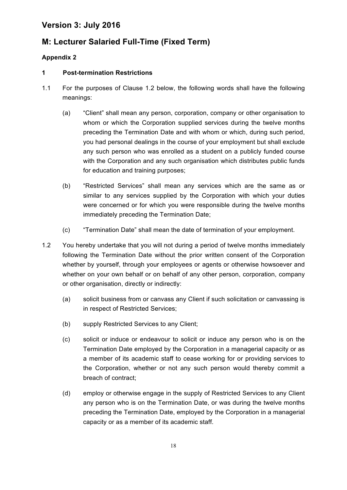### **M: Lecturer Salaried Full-Time (Fixed Term)**

### **Appendix 2**

### **1 Post-termination Restrictions**

- 1.1 For the purposes of Clause 1.2 below, the following words shall have the following meanings:
	- (a) "Client" shall mean any person, corporation, company or other organisation to whom or which the Corporation supplied services during the twelve months preceding the Termination Date and with whom or which, during such period, you had personal dealings in the course of your employment but shall exclude any such person who was enrolled as a student on a publicly funded course with the Corporation and any such organisation which distributes public funds for education and training purposes;
	- (b) "Restricted Services" shall mean any services which are the same as or similar to any services supplied by the Corporation with which your duties were concerned or for which you were responsible during the twelve months immediately preceding the Termination Date;
	- (c) "Termination Date" shall mean the date of termination of your employment.
- 1.2 You hereby undertake that you will not during a period of twelve months immediately following the Termination Date without the prior written consent of the Corporation whether by yourself, through your employees or agents or otherwise howsoever and whether on your own behalf or on behalf of any other person, corporation, company or other organisation, directly or indirectly:
	- (a) solicit business from or canvass any Client if such solicitation or canvassing is in respect of Restricted Services;
	- (b) supply Restricted Services to any Client;
	- (c) solicit or induce or endeavour to solicit or induce any person who is on the Termination Date employed by the Corporation in a managerial capacity or as a member of its academic staff to cease working for or providing services to the Corporation, whether or not any such person would thereby commit a breach of contract;
	- (d) employ or otherwise engage in the supply of Restricted Services to any Client any person who is on the Termination Date, or was during the twelve months preceding the Termination Date, employed by the Corporation in a managerial capacity or as a member of its academic staff.